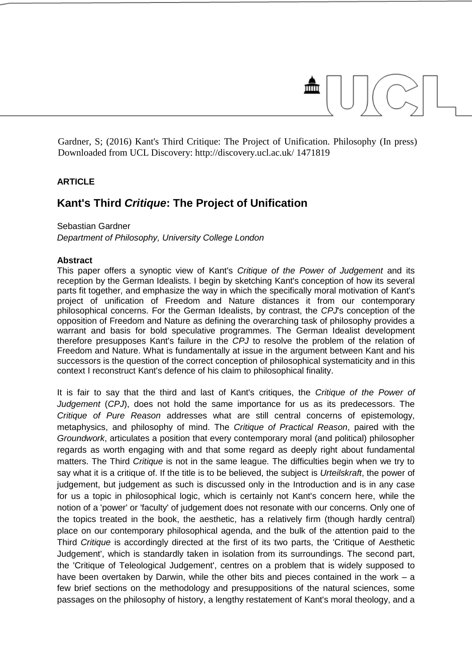Gardner, S; (2016) Kant's Third Critique: The Project of Unification. Philosophy (In press) Downloaded from UCL Discovery: http://discovery.ucl.ac.uk/ 1471819

# **ARTICLE**

# **Kant's Third** *Critique***: The Project of Unification**

Sebastian Gardner

*Department of Philosophy, University College London*

### **Abstract**

This paper offers a synoptic view of Kant's *Critique of the Power of Judgement* and its reception by the German Idealists. I begin by sketching Kant's conception of how its several parts fit together, and emphasize the way in which the specifically moral motivation of Kant's project of unification of Freedom and Nature distances it from our contemporary philosophical concerns. For the German Idealists, by contrast, the *CPJ*'s conception of the opposition of Freedom and Nature as defining the overarching task of philosophy provides a warrant and basis for bold speculative programmes. The German Idealist development therefore presupposes Kant's failure in the *CPJ* to resolve the problem of the relation of Freedom and Nature. What is fundamentally at issue in the argument between Kant and his successors is the question of the correct conception of philosophical systematicity and in this context I reconstruct Kant's defence of his claim to philosophical finality.

It is fair to say that the third and last of Kant's critiques, the *Critique of the Power of Judgement* (*CPJ*), does not hold the same importance for us as its predecessors. The *Critique of Pure Reason* addresses what are still central concerns of epistemology, metaphysics, and philosophy of mind. The *Critique of Practical Reason*, paired with the *Groundwork*, articulates a position that every contemporary moral (and political) philosopher regards as worth engaging with and that some regard as deeply right about fundamental matters. The Third *Critique* is not in the same league. The difficulties begin when we try to say what it is a critique of. If the title is to be believed, the subject is *Urteilskraft*, the power of judgement, but judgement as such is discussed only in the Introduction and is in any case for us a topic in philosophical logic, which is certainly not Kant's concern here, while the notion of a 'power' or 'faculty' of judgement does not resonate with our concerns. Only one of the topics treated in the book, the aesthetic, has a relatively firm (though hardly central) place on our contemporary philosophical agenda, and the bulk of the attention paid to the Third *Critique* is accordingly directed at the first of its two parts, the 'Critique of Aesthetic Judgement', which is standardly taken in isolation from its surroundings. The second part, the 'Critique of Teleological Judgement', centres on a problem that is widely supposed to have been overtaken by Darwin, while the other bits and pieces contained in the work – a few brief sections on the methodology and presuppositions of the natural sciences, some passages on the philosophy of history, a lengthy restatement of Kant's moral theology, and a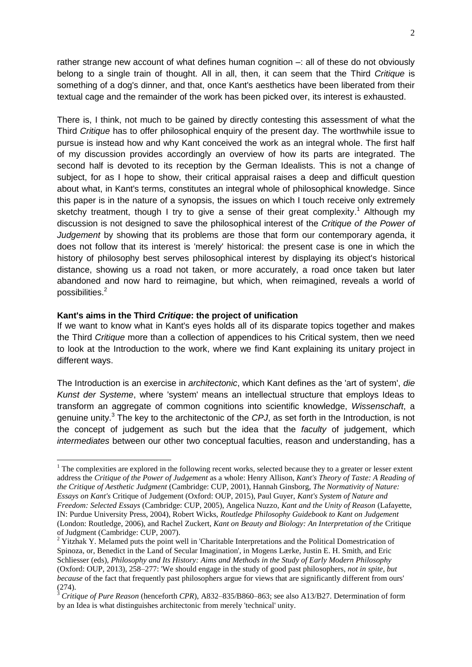rather strange new account of what defines human cognition –: all of these do not obviously belong to a single train of thought. All in all, then, it can seem that the Third *Critique* is something of a dog's dinner, and that, once Kant's aesthetics have been liberated from their textual cage and the remainder of the work has been picked over, its interest is exhausted.

There is, I think, not much to be gained by directly contesting this assessment of what the Third *Critique* has to offer philosophical enquiry of the present day. The worthwhile issue to pursue is instead how and why Kant conceived the work as an integral whole. The first half of my discussion provides accordingly an overview of how its parts are integrated. The second half is devoted to its reception by the German Idealists. This is not a change of subject, for as I hope to show, their critical appraisal raises a deep and difficult question about what, in Kant's terms, constitutes an integral whole of philosophical knowledge. Since this paper is in the nature of a synopsis, the issues on which I touch receive only extremely sketchy treatment, though I try to give a sense of their great complexity.<sup>1</sup> Although my discussion is not designed to save the philosophical interest of the *Critique of the Power of Judgement* by showing that its problems are those that form our contemporary agenda, it does not follow that its interest is 'merely' historical: the present case is one in which the history of philosophy best serves philosophical interest by displaying its object's historical distance, showing us a road not taken, or more accurately, a road once taken but later abandoned and now hard to reimagine, but which, when reimagined, reveals a world of possibilities. 2

### **Kant's aims in the Third** *Critique***: the project of unification**

1

If we want to know what in Kant's eyes holds all of its disparate topics together and makes the Third *Critique* more than a collection of appendices to his Critical system, then we need to look at the Introduction to the work, where we find Kant explaining its unitary project in different ways.

The Introduction is an exercise in *architectonic*, which Kant defines as the 'art of system', *die Kunst der Systeme*, where 'system' means an intellectual structure that employs Ideas to transform an aggregate of common cognitions into scientific knowledge, *Wissenschaft*, a genuine unity.<sup>3</sup> The key to the architectonic of the *CPJ*, as set forth in the Introduction, is not the concept of judgement as such but the idea that the *faculty* of judgement, which *intermediates* between our other two conceptual faculties, reason and understanding, has a

 $<sup>1</sup>$  The complexities are explored in the following recent works, selected because they to a greater or lesser extent</sup> address the *Critique of the Power of Judgement* as a whole: Henry Allison, *Kant's Theory of Taste: A Reading of the Critique of Aesthetic Judgment* (Cambridge: CUP, 2001), Hannah Ginsborg, *The Normativity of Nature: Essays on Kant's* Critique of Judgement (Oxford: OUP, 2015), Paul Guyer, *Kant's System of Nature and Freedom: Selected Essays* (Cambridge: CUP, 2005), Angelica Nuzzo, *Kant and the Unity of Reason* (Lafayette, IN: Purdue University Press, 2004), Robert Wicks, *Routledge Philosophy Guidebook to Kant on Judgement* (London: Routledge, 2006), and Rachel Zuckert, *Kant on Beauty and Biology: An Interpretation of the* Critique of Judgment (Cambridge: CUP, 2007).

<sup>&</sup>lt;sup>2</sup> Yitzhak Y. Melamed puts the point well in 'Charitable Interpretations and the Political Domestrication of Spinoza, or, Benedict in the Land of Secular Imagination', in Mogens Lærke, Justin E. H. Smith, and Eric Schliesser (eds), *Philosophy and Its History: Aims and Methods in the Study of Early Modern Philosophy* (Oxford: OUP, 2013), 258–277: 'We should engage in the study of good past philosophers, *not in spite, but because* of the fact that frequently past philosophers argue for views that are significantly different from ours' (274).

<sup>3</sup> *Critique of Pure Reason* (henceforth *CPR*), A832–835/B860–863; see also A13/B27. Determination of form by an Idea is what distinguishes architectonic from merely 'technical' unity.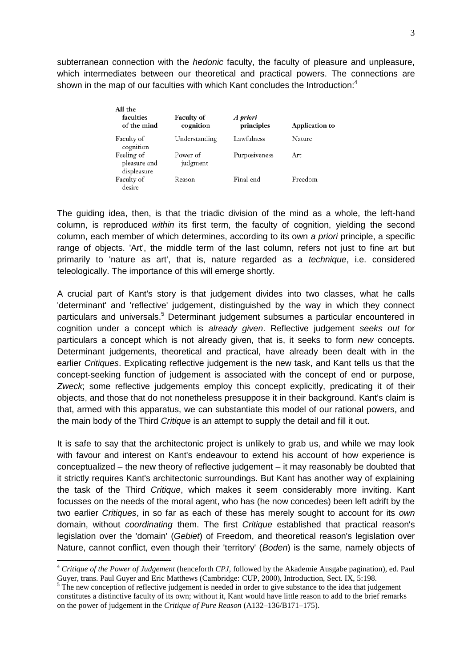subterranean connection with the *hedonic* faculty, the faculty of pleasure and unpleasure, which intermediates between our theoretical and practical powers. The connections are shown in the map of our faculties with which Kant concludes the Introduction:<sup>4</sup>

| All the<br>faculties<br>of the mind       | <b>Faculty of</b><br>cognition | A priori<br>principles | <b>Application to</b> |
|-------------------------------------------|--------------------------------|------------------------|-----------------------|
| Faculty of<br>cognition                   | Understanding                  | Lawfulness             | Nature                |
| Feeling of<br>pleasure and<br>displeasure | Power of<br>judgment           | Purposiveness          | Art                   |
| Faculty of<br>desire                      | Reason                         | Final end              | Freedom               |

The guiding idea, then, is that the triadic division of the mind as a whole, the left-hand column, is reproduced *within* its first term, the faculty of cognition, yielding the second column, each member of which determines, according to its own *a priori* principle, a specific range of objects. 'Art', the middle term of the last column, refers not just to fine art but primarily to 'nature as art', that is, nature regarded as a *technique*, i.e. considered teleologically. The importance of this will emerge shortly.

A crucial part of Kant's story is that judgement divides into two classes, what he calls 'determinant' and 'reflective' judgement, distinguished by the way in which they connect particulars and universals.<sup>5</sup> Determinant judgement subsumes a particular encountered in cognition under a concept which is *already given*. Reflective judgement *seeks out* for particulars a concept which is not already given, that is, it seeks to form *new* concepts. Determinant judgements, theoretical and practical, have already been dealt with in the earlier *Critiques*. Explicating reflective judgement is the new task, and Kant tells us that the concept-seeking function of judgement is associated with the concept of end or purpose, *Zweck*; some reflective judgements employ this concept explicitly, predicating it of their objects, and those that do not nonetheless presuppose it in their background. Kant's claim is that, armed with this apparatus, we can substantiate this model of our rational powers, and the main body of the Third *Critique* is an attempt to supply the detail and fill it out.

It is safe to say that the architectonic project is unlikely to grab us, and while we may look with favour and interest on Kant's endeavour to extend his account of how experience is conceptualized – the new theory of reflective judgement – it may reasonably be doubted that it strictly requires Kant's architectonic surroundings. But Kant has another way of explaining the task of the Third *Critique*, which makes it seem considerably more inviting. Kant focusses on the needs of the moral agent, who has (he now concedes) been left adrift by the two earlier *Critiques*, in so far as each of these has merely sought to account for its *own* domain, without *coordinating* them. The first *Critique* established that practical reason's legislation over the 'domain' (*Gebiet*) of Freedom, and theoretical reason's legislation over Nature, cannot conflict, even though their 'territory' (*Boden*) is the same, namely objects of

<sup>4</sup> *Critique of the Power of Judgement* (henceforth *CPJ*, followed by the Akademie Ausgabe pagination), ed. Paul Guyer, trans. Paul Guyer and Eric Matthews (Cambridge: CUP, 2000), Introduction, Sect. IX, 5:198.

 $5$  The new conception of reflective judgement is needed in order to give substance to the idea that judgement  $\frac{1}{2}$ constitutes a distinctive faculty of its own; without it, Kant would have little reason to add to the brief remarks on the power of judgement in the *Critique of Pure Reason* (A132–136/B171–175).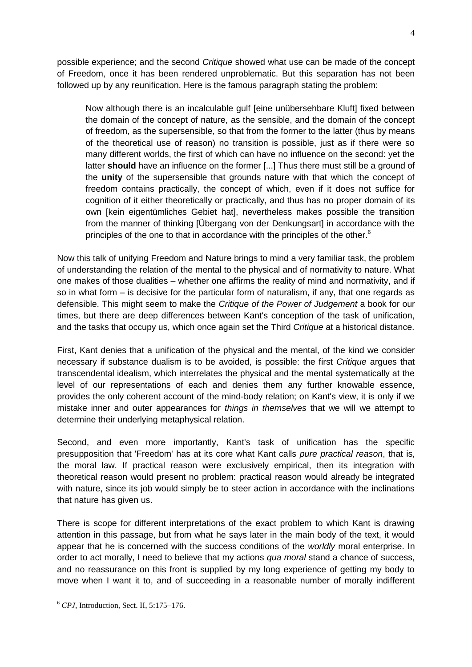possible experience; and the second *Critique* showed what use can be made of the concept of Freedom, once it has been rendered unproblematic. But this separation has not been followed up by any reunification. Here is the famous paragraph stating the problem:

Now although there is an incalculable gulf [eine unübersehbare Kluft] fixed between the domain of the concept of nature, as the sensible, and the domain of the concept of freedom, as the supersensible, so that from the former to the latter (thus by means of the theoretical use of reason) no transition is possible, just as if there were so many different worlds, the first of which can have no influence on the second: yet the latter **should** have an influence on the former [...] Thus there must still be a ground of the **unity** of the supersensible that grounds nature with that which the concept of freedom contains practically, the concept of which, even if it does not suffice for cognition of it either theoretically or practically, and thus has no proper domain of its own [kein eigentümliches Gebiet hat], nevertheless makes possible the transition from the manner of thinking [Übergang von der Denkungsart] in accordance with the principles of the one to that in accordance with the principles of the other.<sup>6</sup>

Now this talk of unifying Freedom and Nature brings to mind a very familiar task, the problem of understanding the relation of the mental to the physical and of normativity to nature. What one makes of those dualities – whether one affirms the reality of mind and normativity, and if so in what form – is decisive for the particular form of naturalism, if any, that one regards as defensible. This might seem to make the *Critique of the Power of Judgement* a book for our times, but there are deep differences between Kant's conception of the task of unification, and the tasks that occupy us, which once again set the Third *Critique* at a historical distance.

First, Kant denies that a unification of the physical and the mental, of the kind we consider necessary if substance dualism is to be avoided, is possible: the first *Critique* argues that transcendental idealism, which interrelates the physical and the mental systematically at the level of our representations of each and denies them any further knowable essence, provides the only coherent account of the mind-body relation; on Kant's view, it is only if we mistake inner and outer appearances for *things in themselves* that we will we attempt to determine their underlying metaphysical relation.

Second, and even more importantly, Kant's task of unification has the specific presupposition that 'Freedom' has at its core what Kant calls *pure practical reason*, that is, the moral law. If practical reason were exclusively empirical, then its integration with theoretical reason would present no problem: practical reason would already be integrated with nature, since its job would simply be to steer action in accordance with the inclinations that nature has given us.

There is scope for different interpretations of the exact problem to which Kant is drawing attention in this passage, but from what he says later in the main body of the text, it would appear that he is concerned with the success conditions of the *worldly* moral enterprise. In order to act morally, I need to believe that my actions *qua moral* stand a chance of success, and no reassurance on this front is supplied by my long experience of getting my body to move when I want it to, and of succeeding in a reasonable number of morally indifferent

<sup>6</sup> *CPJ*, Introduction, Sect. II, 5:175–176.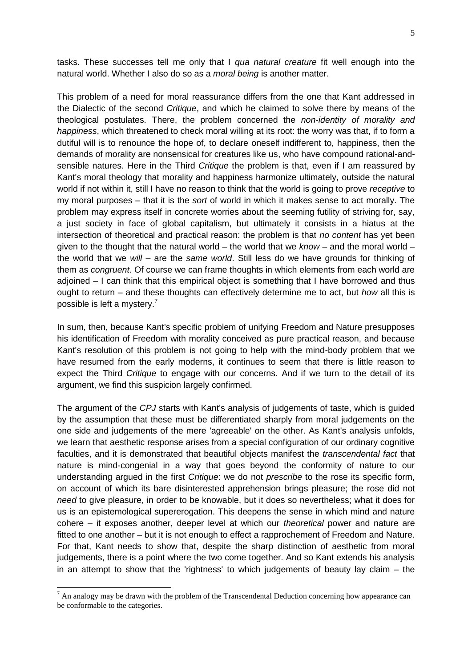tasks. These successes tell me only that I *qua natural creature* fit well enough into the natural world. Whether I also do so as a *moral being* is another matter.

This problem of a need for moral reassurance differs from the one that Kant addressed in the Dialectic of the second *Critique*, and which he claimed to solve there by means of the theological postulates. There, the problem concerned the *non-identity of morality and happiness*, which threatened to check moral willing at its root: the worry was that, if to form a dutiful will is to renounce the hope of, to declare oneself indifferent to, happiness, then the demands of morality are nonsensical for creatures like us, who have compound rational-andsensible natures. Here in the Third *Critique* the problem is that, even if I am reassured by Kant's moral theology that morality and happiness harmonize ultimately, outside the natural world if not within it, still I have no reason to think that the world is going to prove *receptive* to my moral purposes – that it is the *sort* of world in which it makes sense to act morally. The problem may express itself in concrete worries about the seeming futility of striving for, say, a just society in face of global capitalism, but ultimately it consists in a hiatus at the intersection of theoretical and practical reason: the problem is that *no content* has yet been given to the thought that the natural world – the world that we *know* – and the moral world – the world that we *will* – are the *same world*. Still less do we have grounds for thinking of them as *congruent*. Of course we can frame thoughts in which elements from each world are adjoined – I can think that this empirical object is something that I have borrowed and thus ought to return – and these thoughts can effectively determine me to act, but *how* all this is possible is left a mystery.<sup>7</sup>

In sum, then, because Kant's specific problem of unifying Freedom and Nature presupposes his identification of Freedom with morality conceived as pure practical reason, and because Kant's resolution of this problem is not going to help with the mind-body problem that we have resumed from the early moderns, it continues to seem that there is little reason to expect the Third *Critique* to engage with our concerns. And if we turn to the detail of its argument, we find this suspicion largely confirmed.

The argument of the *CPJ* starts with Kant's analysis of judgements of taste, which is guided by the assumption that these must be differentiated sharply from moral judgements on the one side and judgements of the mere 'agreeable' on the other. As Kant's analysis unfolds, we learn that aesthetic response arises from a special configuration of our ordinary cognitive faculties, and it is demonstrated that beautiful objects manifest the *transcendental fact* that nature is mind-congenial in a way that goes beyond the conformity of nature to our understanding argued in the first *Critique*: we do not *prescribe* to the rose its specific form, on account of which its bare disinterested apprehension brings pleasure; the rose did not *need* to give pleasure, in order to be knowable, but it does so nevertheless; what it does for us is an epistemological supererogation. This deepens the sense in which mind and nature cohere – it exposes another, deeper level at which our *theoretical* power and nature are fitted to one another – but it is not enough to effect a rapprochement of Freedom and Nature. For that, Kant needs to show that, despite the sharp distinction of aesthetic from moral judgements, there is a point where the two come together. And so Kant extends his analysis in an attempt to show that the 'rightness' to which judgements of beauty lay claim – the

 $<sup>7</sup>$  An analogy may be drawn with the problem of the Transcendental Deduction concerning how appearance can</sup> be conformable to the categories.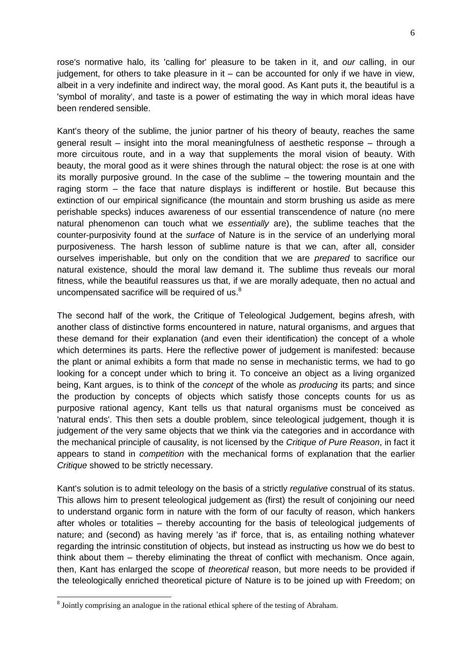rose's normative halo, its 'calling for' pleasure to be taken in it, and *our* calling, in our judgement, for others to take pleasure in it – can be accounted for only if we have in view, albeit in a very indefinite and indirect way, the moral good. As Kant puts it, the beautiful is a 'symbol of morality', and taste is a power of estimating the way in which moral ideas have been rendered sensible.

Kant's theory of the sublime, the junior partner of his theory of beauty, reaches the same general result – insight into the moral meaningfulness of aesthetic response – through a more circuitous route, and in a way that supplements the moral vision of beauty. With beauty, the moral good as it were shines through the natural object: the rose is at one with its morally purposive ground. In the case of the sublime – the towering mountain and the raging storm – the face that nature displays is indifferent or hostile. But because this extinction of our empirical significance (the mountain and storm brushing us aside as mere perishable specks) induces awareness of our essential transcendence of nature (no mere natural phenomenon can touch what we *essentially* are), the sublime teaches that the counter-purposivity found at the *surface* of Nature is in the service of an underlying moral purposiveness. The harsh lesson of sublime nature is that we can, after all, consider ourselves imperishable, but only on the condition that we are *prepared* to sacrifice our natural existence, should the moral law demand it. The sublime thus reveals our moral fitness, while the beautiful reassures us that, if we are morally adequate, then no actual and uncompensated sacrifice will be required of us.<sup>8</sup>

The second half of the work, the Critique of Teleological Judgement, begins afresh, with another class of distinctive forms encountered in nature, natural organisms, and argues that these demand for their explanation (and even their identification) the concept of a whole which determines its parts. Here the reflective power of judgement is manifested: because the plant or animal exhibits a form that made no sense in mechanistic terms, we had to go looking for a concept under which to bring it. To conceive an object as a living organized being, Kant argues, is to think of the *concept* of the whole as *producing* its parts; and since the production by concepts of objects which satisfy those concepts counts for us as purposive rational agency, Kant tells us that natural organisms must be conceived as 'natural ends'. This then sets a double problem, since teleological judgement, though it is judgement *of* the very same objects that we think via the categories and in accordance with the mechanical principle of causality, is not licensed by the *Critique of Pure Reason*, in fact it appears to stand in *competition* with the mechanical forms of explanation that the earlier *Critique* showed to be strictly necessary.

Kant's solution is to admit teleology on the basis of a strictly *regulative* construal of its status. This allows him to present teleological judgement as (first) the result of conjoining our need to understand organic form in nature with the form of our faculty of reason, which hankers after wholes or totalities – thereby accounting for the basis of teleological judgements of nature; and (second) as having merely 'as if' force, that is, as entailing nothing whatever regarding the intrinsic constitution of objects, but instead as instructing us how we do best to think about them – thereby eliminating the threat of conflict with mechanism. Once again, then, Kant has enlarged the scope of *theoretical* reason, but more needs to be provided if the teleologically enriched theoretical picture of Nature is to be joined up with Freedom; on

<sup>&</sup>lt;sup>8</sup> Jointly comprising an analogue in the rational ethical sphere of the testing of Abraham.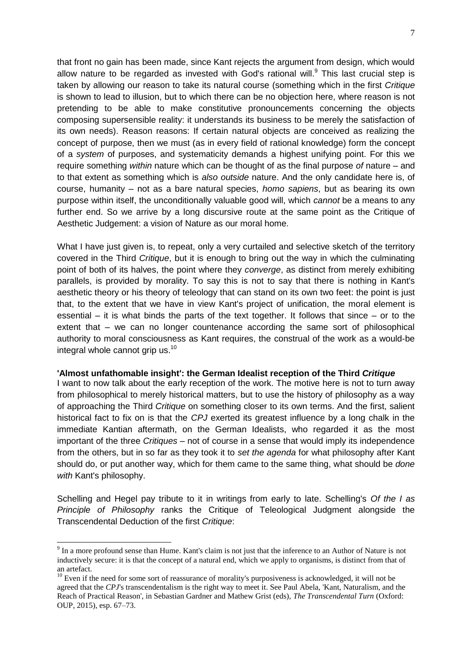that front no gain has been made, since Kant rejects the argument from design, which would allow nature to be regarded as invested with God's rational will.<sup>9</sup> This last crucial step is taken by allowing our reason to take its natural course (something which in the first *Critique* is shown to lead to illusion, but to which there can be no objection here, where reason is not pretending to be able to make constitutive pronouncements concerning the objects composing supersensible reality: it understands its business to be merely the satisfaction of its own needs). Reason reasons: If certain natural objects are conceived as realizing the concept of purpose, then we must (as in every field of rational knowledge) form the concept of a *system* of purposes, and systematicity demands a highest unifying point. For this we require something *within* nature which can be thought of as the final purpose *of* nature – and to that extent as something which is *also outside* nature. And the only candidate here is, of course, humanity – not as a bare natural species, *homo sapiens*, but as bearing its own purpose within itself, the unconditionally valuable good will, which *cannot* be a means to any further end. So we arrive by a long discursive route at the same point as the Critique of Aesthetic Judgement: a vision of Nature as our moral home.

What I have just given is, to repeat, only a very curtailed and selective sketch of the territory covered in the Third *Critique*, but it is enough to bring out the way in which the culminating point of both of its halves, the point where they *converge*, as distinct from merely exhibiting parallels, is provided by morality. To say this is not to say that there is nothing in Kant's aesthetic theory or his theory of teleology that can stand on its own two feet: the point is just that, to the extent that we have in view Kant's project of unification, the moral element is essential – it is what binds the parts of the text together. It follows that since – or to the extent that – we can no longer countenance according the same sort of philosophical authority to moral consciousness as Kant requires, the construal of the work as a would-be integral whole cannot grip us.<sup>10</sup>

# **'Almost unfathomable insight': the German Idealist reception of the Third** *Critique*

I want to now talk about the early reception of the work. The motive here is not to turn away from philosophical to merely historical matters, but to use the history of philosophy as a way of approaching the Third *Critique* on something closer to its own terms. And the first, salient historical fact to fix on is that the *CPJ* exerted its greatest influence by a long chalk in the immediate Kantian aftermath, on the German Idealists, who regarded it as the most important of the three *Critiques* – not of course in a sense that would imply its independence from the others, but in so far as they took it to *set the agenda* for what philosophy after Kant should do, or put another way, which for them came to the same thing, what should be *done with* Kant's philosophy.

Schelling and Hegel pay tribute to it in writings from early to late. Schelling's *Of the I as Principle of Philosophy* ranks the Critique of Teleological Judgment alongside the Transcendental Deduction of the first *Critique*:

<sup>&</sup>lt;sup>9</sup> In a more profound sense than Hume. Kant's claim is not just that the inference to an Author of Nature is not inductively secure: it is that the concept of a natural end, which we apply to organisms, is distinct from that of an artefact.

 $10$  Even if the need for some sort of reassurance of morality's purposiveness is acknowledged, it will not be agreed that the *CPJ*'s transcendentalism is the right way to meet it. See Paul Abela, 'Kant, Naturalism, and the Reach of Practical Reason', in Sebastian Gardner and Mathew Grist (eds), *The Transcendental Turn* (Oxford: OUP, 2015), esp. 67–73.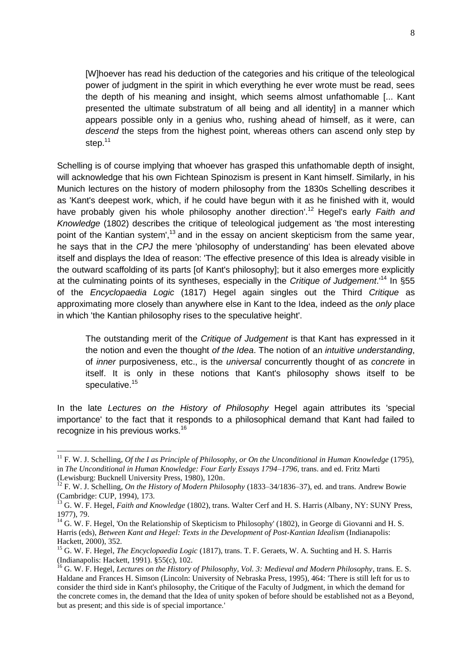[W]hoever has read his deduction of the categories and his critique of the teleological power of judgment in the spirit in which everything he ever wrote must be read, sees the depth of his meaning and insight, which seems almost unfathomable [... Kant presented the ultimate substratum of all being and all identity] in a manner which appears possible only in a genius who, rushing ahead of himself, as it were, can *descend* the steps from the highest point, whereas others can ascend only step by step.<sup>11</sup>

Schelling is of course implying that whoever has grasped this unfathomable depth of insight, will acknowledge that his own Fichtean Spinozism is present in Kant himself. Similarly, in his Munich lectures on the history of modern philosophy from the 1830s Schelling describes it as 'Kant's deepest work, which, if he could have begun with it as he finished with it, would have probably given his whole philosophy another direction'. <sup>12</sup> Hegel's early *Faith and Knowledge* (1802) describes the critique of teleological judgement as 'the most interesting point of the Kantian system',<sup>13</sup> and in the essay on ancient skepticism from the same year, he says that in the *CPJ* the mere 'philosophy of understanding' has been elevated above itself and displays the Idea of reason: 'The effective presence of this Idea is already visible in the outward scaffolding of its parts [of Kant's philosophy]; but it also emerges more explicitly at the culminating points of its syntheses, especially in the *Critique of Judgement*.<sup>14</sup> In §55 of the *Encyclopaedia Logic* (1817) Hegel again singles out the Third *Critique* as approximating more closely than anywhere else in Kant to the Idea, indeed as the *only* place in which 'the Kantian philosophy rises to the speculative height'.

The outstanding merit of the *Critique of Judgement* is that Kant has expressed in it the notion and even the thought *of the Idea*. The notion of an *intuitive understanding*, of *inner* purposiveness, etc., is the *universal* concurrently thought of as *concrete* in itself. It is only in these notions that Kant's philosophy shows itself to be speculative.<sup>15</sup>

In the late *Lectures on the History of Philosophy* Hegel again attributes its 'special importance' to the fact that it responds to a philosophical demand that Kant had failed to recognize in his previous works.<sup>16</sup>

<sup>11</sup> F. W. J. Schelling, *Of the I as Principle of Philosophy, or On the Unconditional in Human Knowledge* (1795), in *The Unconditional in Human Knowledge: Four Early Essays 1794–1796*, trans. and ed. Fritz Marti (Lewisburg: Bucknell University Press, 1980), 120n.

<sup>12</sup> F. W. J. Schelling, *On the History of Modern Philosophy* (1833–34/1836–37), ed. and trans. Andrew Bowie (Cambridge: CUP, 1994), 173.

<sup>&</sup>lt;sup>13</sup> G. W. F. Hegel, *Faith and Knowledge* (1802), trans. Walter Cerf and H. S. Harris (Albany, NY: SUNY Press, 1977), 79.

<sup>&</sup>lt;sup>14</sup> G. W. F. Hegel, 'On the Relationship of Skepticism to Philosophy' (1802), in George di Giovanni and H. S. Harris (eds), *Between Kant and Hegel: Texts in the Development of Post-Kantian Idealism* (Indianapolis: Hackett, 2000), 352.

<sup>15</sup> G. W. F. Hegel, *The Encyclopaedia Logic* (1817), trans. T. F. Geraets, W. A. Suchting and H. S. Harris (Indianapolis: Hackett, 1991). §55(c), 102.

<sup>&</sup>lt;sup>16</sup> G. W. F. Hegel, *Lectures on the History of Philosophy, Vol. 3: Medieval and Modern Philosophy*, trans. E. S. Haldane and Frances H. Simson (Lincoln: University of Nebraska Press, 1995), 464: 'There is still left for us to consider the third side in Kant's philosophy, the Critique of the Faculty of Judgment, in which the demand for the concrete comes in, the demand that the Idea of unity spoken of before should be established not as a Beyond, but as present; and this side is of special importance.'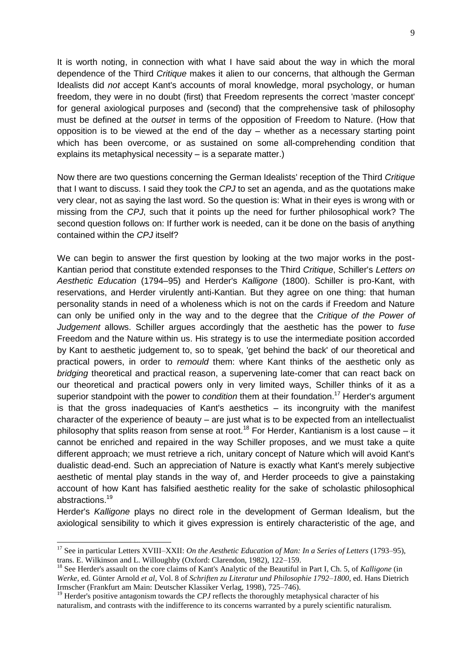It is worth noting, in connection with what I have said about the way in which the moral dependence of the Third *Critique* makes it alien to our concerns, that although the German Idealists did *not* accept Kant's accounts of moral knowledge, moral psychology, or human freedom, they were in no doubt (first) that Freedom represents the correct 'master concept' for general axiological purposes and (second) that the comprehensive task of philosophy must be defined at the *outset* in terms of the opposition of Freedom to Nature. (How that opposition is to be viewed at the end of the day – whether as a necessary starting point which has been overcome, or as sustained on some all-comprehending condition that explains its metaphysical necessity – is a separate matter.)

Now there are two questions concerning the German Idealists' reception of the Third *Critique* that I want to discuss. I said they took the *CPJ* to set an agenda, and as the quotations make very clear, not as saying the last word. So the question is: What in their eyes is wrong with or missing from the *CPJ*, such that it points up the need for further philosophical work? The second question follows on: If further work is needed, can it be done on the basis of anything contained within the *CPJ* itself?

We can begin to answer the first question by looking at the two major works in the post-Kantian period that constitute extended responses to the Third *Critique*, Schiller's *Letters on Aesthetic Education* (1794–95) and Herder's *Kalligone* (1800). Schiller is pro-Kant, with reservations, and Herder virulently anti-Kantian. But they agree on one thing: that human personality stands in need of a wholeness which is not on the cards if Freedom and Nature can only be unified only in the way and to the degree that the *Critique of the Power of Judgement* allows. Schiller argues accordingly that the aesthetic has the power to *fuse* Freedom and the Nature within us. His strategy is to use the intermediate position accorded by Kant to aesthetic judgement to, so to speak, 'get behind the back' of our theoretical and practical powers, in order to *remould* them: where Kant thinks of the aesthetic only as *bridging* theoretical and practical reason, a supervening late-comer that can react back on our theoretical and practical powers only in very limited ways, Schiller thinks of it as a superior standpoint with the power to *condition* them at their foundation. <sup>17</sup> Herder's argument is that the gross inadequacies of Kant's aesthetics – its incongruity with the manifest character of the experience of beauty – are just what is to be expected from an intellectualist philosophy that splits reason from sense at root.<sup>18</sup> For Herder, Kantianism is a lost cause – it cannot be enriched and repaired in the way Schiller proposes, and we must take a quite different approach; we must retrieve a rich, unitary concept of Nature which will avoid Kant's dualistic dead-end. Such an appreciation of Nature is exactly what Kant's merely subjective aesthetic of mental play stands in the way of, and Herder proceeds to give a painstaking account of how Kant has falsified aesthetic reality for the sake of scholastic philosophical abstractions. 19

Herder's *Kalligone* plays no direct role in the development of German Idealism, but the axiological sensibility to which it gives expression is entirely characteristic of the age, and

<sup>17</sup> See in particular Letters XVIII–XXII: *On the Aesthetic Education of Man: In a Series of Letters* (1793–95), trans. E. Wilkinson and L. Willoughby (Oxford: Clarendon, 1982), 122–159.

<sup>18</sup> See Herder's assault on the core claims of Kant's Analytic of the Beautiful in Part I, Ch. 5, of *Kalligone* (in *Werke*, ed. Günter Arnold *et al*, Vol. 8 of *Schriften zu Literatur und Philosophie 1792–1800*, ed. Hans Dietrich Irmscher (Frankfurt am Main: Deutscher Klassiker Verlag, 1998), 725–746).

<sup>&</sup>lt;sup>19</sup> Herder's positive antagonism towards the *CPJ* reflects the thoroughly metaphysical character of his naturalism, and contrasts with the indifference to its concerns warranted by a purely scientific naturalism.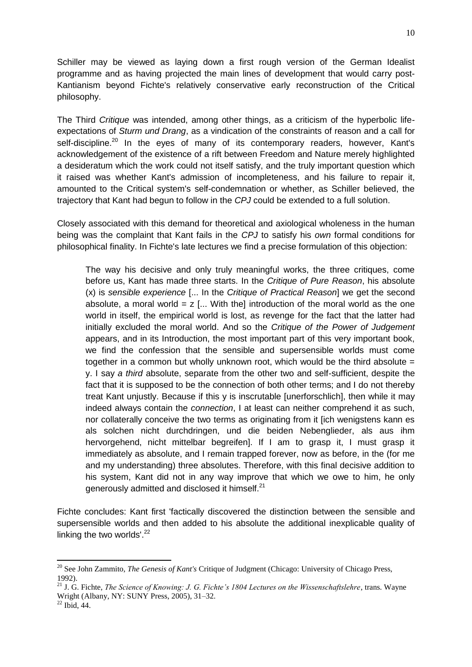Schiller may be viewed as laying down a first rough version of the German Idealist programme and as having projected the main lines of development that would carry post-Kantianism beyond Fichte's relatively conservative early reconstruction of the Critical philosophy.

The Third *Critique* was intended, among other things, as a criticism of the hyperbolic lifeexpectations of *Sturm und Drang*, as a vindication of the constraints of reason and a call for self-discipline.<sup>20</sup> In the eyes of many of its contemporary readers, however, Kant's acknowledgement of the existence of a rift between Freedom and Nature merely highlighted a desideratum which the work could not itself satisfy, and the truly important question which it raised was whether Kant's admission of incompleteness, and his failure to repair it, amounted to the Critical system's self-condemnation or whether, as Schiller believed, the trajectory that Kant had begun to follow in the *CPJ* could be extended to a full solution.

Closely associated with this demand for theoretical and axiological wholeness in the human being was the complaint that Kant fails in the *CPJ* to satisfy his *own* formal conditions for philosophical finality. In Fichte's late lectures we find a precise formulation of this objection:

The way his decisive and only truly meaningful works, the three critiques, come before us, Kant has made three starts. In the *Critique of Pure Reason*, his absolute (x) is *sensible experience* [... In the *Critique of Practical Reason*] we get the second absolute, a moral world  $= z$  [... With the] introduction of the moral world as the one world in itself, the empirical world is lost, as revenge for the fact that the latter had initially excluded the moral world. And so the *Critique of the Power of Judgement* appears, and in its Introduction, the most important part of this very important book, we find the confession that the sensible and supersensible worlds must come together in a common but wholly unknown root, which would be the third absolute  $=$ y. I say *a third* absolute, separate from the other two and self-sufficient, despite the fact that it is supposed to be the connection of both other terms; and I do not thereby treat Kant unjustly. Because if this y is inscrutable [unerforschlich], then while it may indeed always contain the *connection*, I at least can neither comprehend it as such, nor collaterally conceive the two terms as originating from it [ich wenigstens kann es als solchen nicht durchdringen, und die beiden Nebenglieder, als aus ihm hervorgehend, nicht mittelbar begreifen]. If I am to grasp it, I must grasp it immediately as absolute, and I remain trapped forever, now as before, in the (for me and my understanding) three absolutes. Therefore, with this final decisive addition to his system, Kant did not in any way improve that which we owe to him, he only generously admitted and disclosed it himself.<sup>21</sup>

Fichte concludes: Kant first 'factically discovered the distinction between the sensible and supersensible worlds and then added to his absolute the additional inexplicable quality of linking the two worlds'. $22$ 

<sup>20</sup> See John Zammito, *The Genesis of Kant's* Critique of Judgment (Chicago: University of Chicago Press, 1992).

<sup>21</sup> J. G. Fichte, *The Science of Knowing: J. G. Fichte's 1804 Lectures on the Wissenschaftslehre*, trans. Wayne Wright (Albany, NY: SUNY Press, 2005), 31–32.

 $22$  Ibid, 44.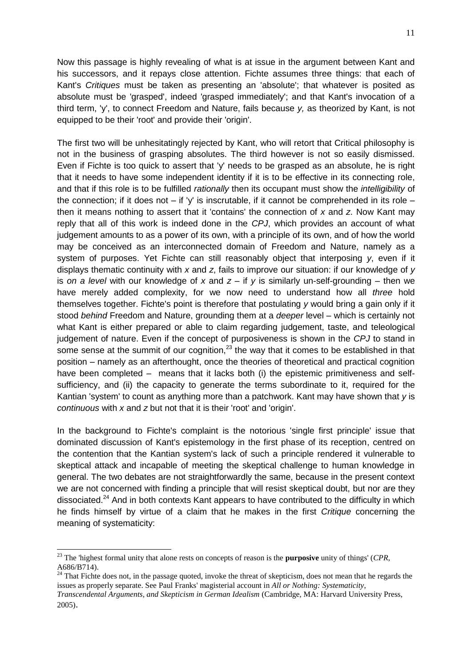Now this passage is highly revealing of what is at issue in the argument between Kant and his successors, and it repays close attention. Fichte assumes three things: that each of Kant's *Critiques* must be taken as presenting an 'absolute'; that whatever is posited as absolute must be 'grasped', indeed 'grasped immediately'; and that Kant's invocation of a third term, 'y', to connect Freedom and Nature, fails because *y,* as theorized by Kant, is not equipped to be their 'root' and provide their 'origin'.

The first two will be unhesitatingly rejected by Kant, who will retort that Critical philosophy is not in the business of grasping absolutes. The third however is not so easily dismissed. Even if Fichte is too quick to assert that 'y' needs to be grasped as an absolute, he is right that it needs to have some independent identity if it is to be effective in its connecting role, and that if this role is to be fulfilled *rationally* then its occupant must show the *intelligibility* of the connection; if it does not  $-$  if 'y' is inscrutable, if it cannot be comprehended in its role  $$ then it means nothing to assert that it 'contains' the connection of *x* and *z*. Now Kant may reply that all of this work is indeed done in the *CPJ*, which provides an account of what judgement amounts to as a power of its own, with a principle of its own, and of how the world may be conceived as an interconnected domain of Freedom and Nature, namely as a system of purposes. Yet Fichte can still reasonably object that interposing *y*, even if it displays thematic continuity with *x* and *z*, fails to improve our situation: if our knowledge of *y* is *on a level* with our knowledge of *x* and *z* – if *y* is similarly un-self-grounding – then we have merely added complexity, for we now need to understand how all *three* hold themselves together. Fichte's point is therefore that postulating *y* would bring a gain only if it stood *behind* Freedom and Nature, grounding them at a *deeper* level – which is certainly not what Kant is either prepared or able to claim regarding judgement, taste, and teleological judgement of nature. Even if the concept of purposiveness is shown in the *CPJ* to stand in some sense at the summit of our cognition, $^{23}$  the way that it comes to be established in that position – namely as an afterthought, once the theories of theoretical and practical cognition have been completed – means that it lacks both (i) the epistemic primitiveness and selfsufficiency, and (ii) the capacity to generate the terms subordinate to it, required for the Kantian 'system' to count as anything more than a patchwork. Kant may have shown that *y* is *continuous* with *x* and *z* but not that it is their 'root' and 'origin'.

In the background to Fichte's complaint is the notorious 'single first principle' issue that dominated discussion of Kant's epistemology in the first phase of its reception, centred on the contention that the Kantian system's lack of such a principle rendered it vulnerable to skeptical attack and incapable of meeting the skeptical challenge to human knowledge in general. The two debates are not straightforwardly the same, because in the present context we are not concerned with finding a principle that will resist skeptical doubt, but nor are they dissociated.<sup>24</sup> And in both contexts Kant appears to have contributed to the difficulty in which he finds himself by virtue of a claim that he makes in the first *Critique* concerning the meaning of systematicity:

1

 $24$  That Fichte does not, in the passage quoted, invoke the threat of skepticism, does not mean that he regards the issues as properly separate. See Paul Franks' magisterial account in *All or Nothing: Systematicity, Transcendental Arguments, and Skepticism in German Idealism* (Cambridge, MA: Harvard University Press, 2005).

<sup>23</sup> The 'highest formal unity that alone rests on concepts of reason is the **purposive** unity of things' (*CPR*, A686/B714).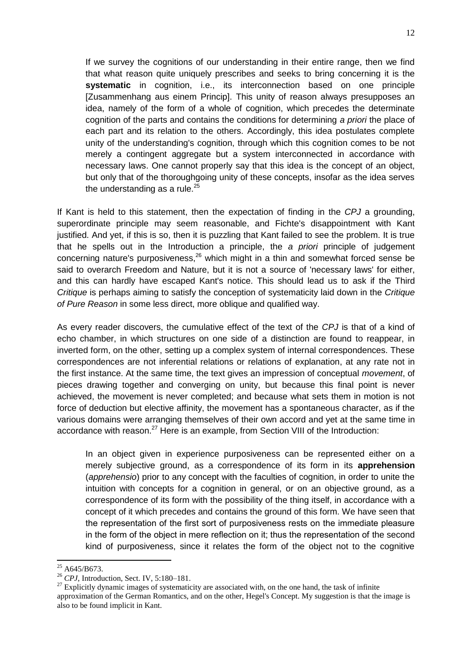If we survey the cognitions of our understanding in their entire range, then we find that what reason quite uniquely prescribes and seeks to bring concerning it is the **systematic** in cognition, i.e., its interconnection based on one principle [Zusammenhang aus einem Princip]. This unity of reason always presupposes an idea, namely of the form of a whole of cognition, which precedes the determinate cognition of the parts and contains the conditions for determining *a priori* the place of each part and its relation to the others. Accordingly, this idea postulates complete unity of the understanding's cognition, through which this cognition comes to be not merely a contingent aggregate but a system interconnected in accordance with necessary laws. One cannot properly say that this idea is the concept of an object, but only that of the thoroughgoing unity of these concepts, insofar as the idea serves the understanding as a rule. $25$ 

If Kant is held to this statement, then the expectation of finding in the *CPJ* a grounding, superordinate principle may seem reasonable, and Fichte's disappointment with Kant justified. And yet, if this is so, then it is puzzling that Kant failed to see the problem. It is true that he spells out in the Introduction a principle, the *a priori* principle of judgement concerning nature's purposiveness,<sup>26</sup> which might in a thin and somewhat forced sense be said to overarch Freedom and Nature, but it is not a source of 'necessary laws' for either, and this can hardly have escaped Kant's notice. This should lead us to ask if the Third *Critique* is perhaps aiming to satisfy the conception of systematicity laid down in the *Critique of Pure Reason* in some less direct, more oblique and qualified way.

As every reader discovers, the cumulative effect of the text of the *CPJ* is that of a kind of echo chamber, in which structures on one side of a distinction are found to reappear, in inverted form, on the other, setting up a complex system of internal correspondences. These correspondences are not inferential relations or relations of explanation, at any rate not in the first instance. At the same time, the text gives an impression of conceptual *movement*, of pieces drawing together and converging on unity, but because this final point is never achieved, the movement is never completed; and because what sets them in motion is not force of deduction but elective affinity, the movement has a spontaneous character, as if the various domains were arranging themselves of their own accord and yet at the same time in accordance with reason.<sup>27</sup> Here is an example, from Section VIII of the Introduction:

In an object given in experience purposiveness can be represented either on a merely subjective ground, as a correspondence of its form in its **apprehension** (*apprehensio*) prior to any concept with the faculties of cognition, in order to unite the intuition with concepts for a cognition in general, or on an objective ground, as a correspondence of its form with the possibility of the thing itself, in accordance with a concept of it which precedes and contains the ground of this form. We have seen that the representation of the first sort of purposiveness rests on the immediate pleasure in the form of the object in mere reflection on it; thus the representation of the second kind of purposiveness, since it relates the form of the object not to the cognitive

 $25$  A645/B673.

<sup>26</sup> *CPJ*, Introduction, Sect. IV, 5:180–181.

 $27$  Explicitly dynamic images of systematicity are associated with, on the one hand, the task of infinite approximation of the German Romantics, and on the other, Hegel's Concept. My suggestion is that the image is also to be found implicit in Kant.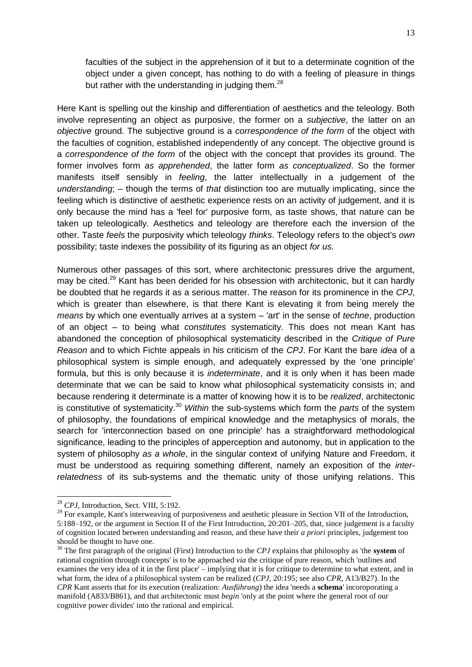faculties of the subject in the apprehension of it but to a determinate cognition of the object under a given concept, has nothing to do with a feeling of pleasure in things but rather with the understanding in judging them.<sup>28</sup>

Here Kant is spelling out the kinship and differentiation of aesthetics and the teleology. Both involve representing an object as purposive, the former on a *subjective*, the latter on an *objective* ground. The subjective ground is a *correspondence of the form* of the object with the faculties of cognition, established independently of any concept. The objective ground is a *correspondence of the form* of the object with the concept that provides its ground. The former involves form *as apprehended*, the latter form *as conceptualized*. So the former manifests itself sensibly in *feeling*, the latter intellectually in a judgement of the *understanding*; – though the terms of *that* distinction too are mutually implicating, since the feeling which is distinctive of aesthetic experience rests on an activity of judgement, and it is only because the mind has a 'feel for' purposive form, as taste shows, that nature can be taken up teleologically. Aesthetics and teleology are therefore each the inversion of the other. Taste *feels* the purposivity which teleology *thinks*. Teleology refers to the object's *own* possibility; taste indexes the possibility of its figuring as an object *for us*.

Numerous other passages of this sort, where architectonic pressures drive the argument, may be cited.<sup>29</sup> Kant has been derided for his obsession with architectonic, but it can hardly be doubted that he regards it as a serious matter. The reason for its prominence in the *CPJ*, which is greater than elsewhere, is that there Kant is elevating it from being merely the *means* by which one eventually arrives at a system – 'art' in the sense of *techne*, production of an object – to being what *constitutes* systematicity. This does not mean Kant has abandoned the conception of philosophical systematicity described in the *Critique of Pure Reason* and to which Fichte appeals in his criticism of the *CPJ*. For Kant the bare *idea* of a philosophical system is simple enough, and adequately expressed by the 'one principle' formula, but this is only because it is *indeterminate*, and it is only when it has been made determinate that we can be said to know what philosophical systematicity consists in; and because rendering it determinate is a matter of knowing how it is to be *realized*, architectonic is constitutive of systematicity.<sup>30</sup> *Within* the sub-systems which form the *parts* of the system of philosophy, the foundations of empirical knowledge and the metaphysics of morals, the search for 'interconnection based on one principle' has a straightforward methodological significance, leading to the principles of apperception and autonomy, but in application to the system of philosophy *as a whole*, in the singular context of unifying Nature and Freedom, it must be understood as requiring something different, namely an exposition of the *interrelatedness* of its sub-systems and the thematic unity of those unifying relations. This

<sup>28</sup> *CPJ*, Introduction, Sect. VIII, 5:192.

<sup>&</sup>lt;sup>29</sup> For example, Kant's interweaving of purposiveness and aesthetic pleasure in Section VII of the Introduction, 5:188–192, or the argument in Section II of the First Introduction, 20:201–205, that, since judgement is a faculty of cognition located between understanding and reason, and these have their *a priori* principles, judgement too should be thought to have one.

<sup>30</sup> The first paragraph of the original (First) Introduction to the *CPJ* explains that philosophy as 'the **system** of rational cognition through concepts' is to be approached *via* the critique of pure reason, which 'outlines and examines the very idea of it in the first place' – implying that it is for critique to determine to what extent, and in what form, the idea of a philosophical system can be realized (*CPJ*, 20:195; see also *CPR*, A13/B27). In the *CPR* Kant asserts that for its execution (realization: *Ausführung*) the idea 'needs a **schema**' incoroporating a manifold (A833/B861), and that architectonic must *begin* 'only at the point where the general root of our cognitive power divides' into the rational and empirical.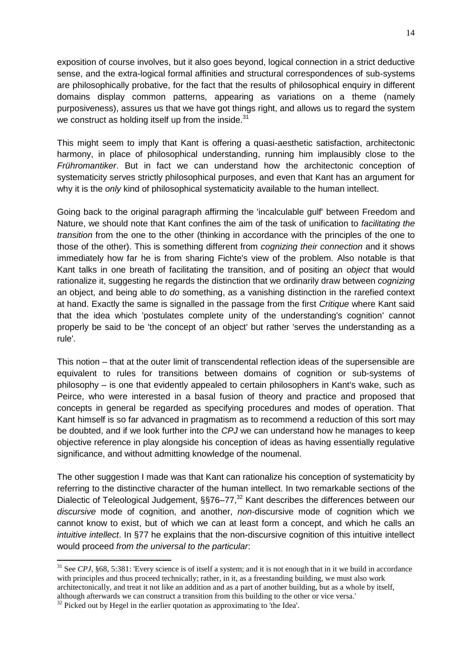exposition of course involves, but it also goes beyond, logical connection in a strict deductive sense, and the extra-logical formal affinities and structural correspondences of sub-systems are philosophically probative, for the fact that the results of philosophical enquiry in different domains display common patterns, appearing as variations on a theme (namely purposiveness), assures us that we have got things right, and allows us to regard the system we construct as holding itself up from the inside. $31$ 

This might seem to imply that Kant is offering a quasi-aesthetic satisfaction, architectonic harmony, in place of philosophical understanding, running him implausibly close to the *Frühromantiker*. But in fact we can understand how the architectonic conception of systematicity serves strictly philosophical purposes, and even that Kant has an argument for why it is the *only* kind of philosophical systematicity available to the human intellect.

Going back to the original paragraph affirming the 'incalculable gulf' between Freedom and Nature, we should note that Kant confines the aim of the task of unification to *facilitating the transition* from the one to the other (thinking in accordance with the principles of the one to those of the other). This is something different from *cognizing their connection* and it shows immediately how far he is from sharing Fichte's view of the problem. Also notable is that Kant talks in one breath of facilitating the transition, and of positing an *object* that would rationalize it, suggesting he regards the distinction that we ordinarily draw between *cognizing* an object, and being able to *do* something, as a vanishing distinction in the rarefied context at hand. Exactly the same is signalled in the passage from the first *Critique* where Kant said that the idea which 'postulates complete unity of the understanding's cognition' cannot properly be said to be 'the concept of an object' but rather 'serves the understanding as a rule'.

This notion – that at the outer limit of transcendental reflection ideas of the supersensible are equivalent to rules for transitions between domains of cognition or sub-systems of philosophy – is one that evidently appealed to certain philosophers in Kant's wake, such as Peirce, who were interested in a basal fusion of theory and practice and proposed that concepts in general be regarded as specifying procedures and modes of operation. That Kant himself is so far advanced in pragmatism as to recommend a reduction of this sort may be doubted, and if we look further into the *CPJ* we can understand how he manages to keep objective reference in play alongside his conception of ideas as having essentially regulative significance, and without admitting knowledge of the noumenal.

The other suggestion I made was that Kant can rationalize his conception of systematicity by referring to the distinctive character of the human intellect. In two remarkable sections of the Dialectic of Teleological Judgement, §§76-77,<sup>32</sup> Kant describes the differences between our *discursive* mode of cognition, and another, *non*-discursive mode of cognition which we cannot know to exist, but of which we can at least form a concept, and which he calls an *intuitive intellect*. In §77 he explains that the non-discursive cognition of this intuitive intellect would proceed *from the universal to the particular*:

 $31$  See *CPJ*, §68, 5:381: 'Every science is of itself a system; and it is not enough that in it we build in accordance with principles and thus proceed technically; rather, in it, as a freestanding building, we must also work architectonically, and treat it not like an addition and as a part of another building, but as a whole by itself, although afterwards we can construct a transition from this building to the other or vice versa.'

<sup>&</sup>lt;sup>32</sup> Picked out by Hegel in the earlier quotation as approximating to 'the Idea'.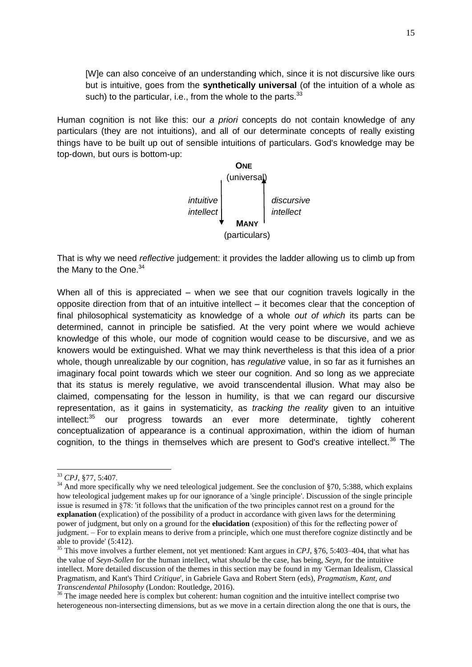[W]e can also conceive of an understanding which, since it is not discursive like ours but is intuitive, goes from the **synthetically universal** (of the intuition of a whole as such) to the particular, i.e., from the whole to the parts. $33$ 

Human cognition is not like this: our *a priori* concepts do not contain knowledge of any particulars (they are not intuitions), and all of our determinate concepts of really existing things have to be built up out of sensible intuitions of particulars. God's knowledge may be top-down, but ours is bottom-up:



That is why we need *reflective* judgement: it provides the ladder allowing us to climb up from the Many to the One.<sup>34</sup>

When all of this is appreciated – when we see that our cognition travels logically in the opposite direction from that of an intuitive intellect – it becomes clear that the conception of final philosophical systematicity as knowledge of a whole *out of which* its parts can be determined, cannot in principle be satisfied. At the very point where we would achieve knowledge of this whole, our mode of cognition would cease to be discursive, and we as knowers would be extinguished. What we may think nevertheless is that this idea of a prior whole, though unrealizable by our cognition, has *regulative* value, in so far as it furnishes an imaginary focal point towards which we steer our cognition. And so long as we appreciate that its status is merely regulative, we avoid transcendental illusion. What may also be claimed, compensating for the lesson in humility, is that we can regard our discursive representation, as it gains in systematicity, as *tracking the reality* given to an intuitive intellect:<sup>35</sup> our progress towards an ever more determinate, tightly coherent conceptualization of appearance is a continual approximation, within the idiom of human cognition, to the things in themselves which are present to God's creative intellect.<sup>36</sup> The

<sup>33</sup> *CPJ*, §77, 5:407.

<sup>&</sup>lt;sup>34</sup> And more specifically why we need teleological judgement. See the conclusion of §70, 5:388, which explains how teleological judgement makes up for our ignorance of a 'single principle'. Discussion of the single principle issue is resumed in §78: 'it follows that the unification of the two principles cannot rest on a ground for the **explanation** (explication) of the possibility of a product in accordance with given laws for the determining power of judgment, but only on a ground for the **elucidation** (exposition) of this for the reflecting power of judgment. – For to explain means to derive from a principle, which one must therefore cognize distinctly and be able to provide' (5:412).

<sup>&</sup>lt;sup>35</sup> This move involves a further element, not yet mentioned: Kant argues in *CPJ*, §76, 5:403–404, that what has the value of *Seyn-Sollen* for the human intellect, what *should* be the case, has being, *Seyn*, for the intuitive intellect. More detailed discussion of the themes in this section may be found in my 'German Idealism, Classical Pragmatism, and Kant's Third *Critique*', in Gabriele Gava and Robert Stern (eds), *Pragmatism, Kant, and Transcendental Philosophy* (London: Routledge, 2016).

<sup>&</sup>lt;sup>36</sup> The image needed here is complex but coherent: human cognition and the intuitive intellect comprise two heterogeneous non-intersecting dimensions, but as we move in a certain direction along the one that is ours, the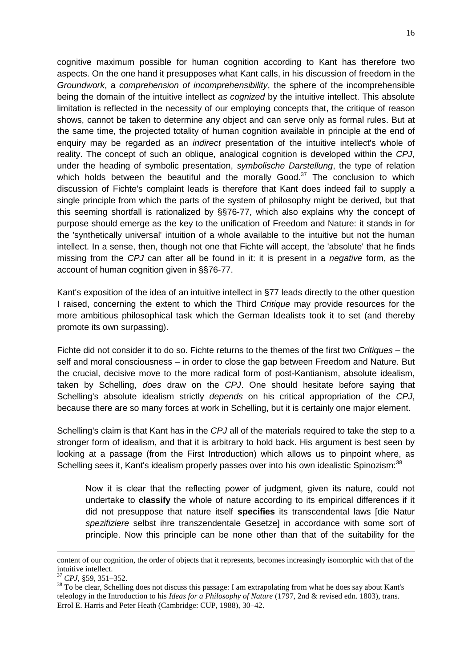cognitive maximum possible for human cognition according to Kant has therefore two aspects. On the one hand it presupposes what Kant calls, in his discussion of freedom in the *Groundwork*, a *comprehension of incomprehensibility*, the sphere of the incomprehensible being the domain of the intuitive intellect *as cognized* by the intuitive intellect. This absolute limitation is reflected in the necessity of our employing concepts that, the critique of reason shows, cannot be taken to determine any object and can serve only as formal rules. But at the same time, the projected totality of human cognition available in principle at the end of enquiry may be regarded as an *indirect* presentation of the intuitive intellect's whole of reality. The concept of such an oblique, analogical cognition is developed within the *CPJ*, under the heading of symbolic presentation, *symbolische Darstellung*, the type of relation which holds between the beautiful and the morally  $Good.^{37}$  The conclusion to which discussion of Fichte's complaint leads is therefore that Kant does indeed fail to supply a single principle from which the parts of the system of philosophy might be derived, but that this seeming shortfall is rationalized by §§76-77, which also explains why the concept of purpose should emerge as the key to the unification of Freedom and Nature: it stands in for the 'synthetically universal' intuition of a whole available to the intuitive but not the human intellect. In a sense, then, though not one that Fichte will accept, the 'absolute' that he finds missing from the *CPJ* can after all be found in it: it is present in a *negative* form, as the account of human cognition given in §§76-77.

Kant's exposition of the idea of an intuitive intellect in §77 leads directly to the other question I raised, concerning the extent to which the Third *Critique* may provide resources for the more ambitious philosophical task which the German Idealists took it to set (and thereby promote its own surpassing).

Fichte did not consider it to do so. Fichte returns to the themes of the first two *Critiques* – the self and moral consciousness – in order to close the gap between Freedom and Nature. But the crucial, decisive move to the more radical form of post-Kantianism, absolute idealism, taken by Schelling, *does* draw on the *CPJ*. One should hesitate before saying that Schelling's absolute idealism strictly *depends* on his critical appropriation of the *CPJ*, because there are so many forces at work in Schelling, but it is certainly one major element.

Schelling's claim is that Kant has in the *CPJ* all of the materials required to take the step to a stronger form of idealism, and that it is arbitrary to hold back. His argument is best seen by looking at a passage (from the First Introduction) which allows us to pinpoint where, as Schelling sees it, Kant's idealism properly passes over into his own idealistic Spinozism:<sup>38</sup>

Now it is clear that the reflecting power of judgment, given its nature, could not undertake to **classify** the whole of nature according to its empirical differences if it did not presuppose that nature itself **specifies** its transcendental laws [die Natur *spezifiziere* selbst ihre transzendentale Gesetze] in accordance with some sort of principle. Now this principle can be none other than that of the suitability for the

content of our cognition, the order of objects that it represents, becomes increasingly isomorphic with that of the intuitive intellect.

<sup>37</sup> *CPJ*, §59, 351–352.

<sup>&</sup>lt;sup>38</sup> To be clear, Schelling does not discuss this passage: I am extrapolating from what he does say about Kant's teleology in the Introduction to his *Ideas for a Philosophy of Nature* (1797, 2nd & revised edn. 1803), trans. Errol E. Harris and Peter Heath (Cambridge: CUP, 1988), 30–42.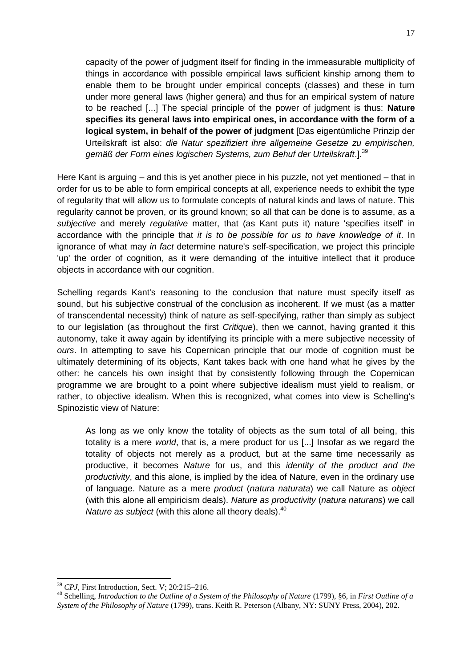capacity of the power of judgment itself for finding in the immeasurable multiplicity of things in accordance with possible empirical laws sufficient kinship among them to enable them to be brought under empirical concepts (classes) and these in turn under more general laws (higher genera) and thus for an empirical system of nature to be reached [...] The special principle of the power of judgment is thus: **Nature specifies its general laws into empirical ones, in accordance with the form of a logical system, in behalf of the power of judgment** [Das eigentümliche Prinzip der Urteilskraft ist also: *die Natur spezifiziert ihre allgemeine Gesetze zu empirischen, gemäß der Form eines logischen Systems, zum Behuf der Urteilskraft*.]. 39

Here Kant is arguing – and this is yet another piece in his puzzle, not yet mentioned – that in order for us to be able to form empirical concepts at all, experience needs to exhibit the type of regularity that will allow us to formulate concepts of natural kinds and laws of nature. This regularity cannot be proven, or its ground known; so all that can be done is to assume, as a *subjective* and merely *regulative* matter, that (as Kant puts it) nature 'specifies itself' in accordance with the principle that *it is to be possible for us to have knowledge of it*. In ignorance of what may *in fact* determine nature's self-specification, we project this principle 'up' the order of cognition, as it were demanding of the intuitive intellect that it produce objects in accordance with our cognition.

Schelling regards Kant's reasoning to the conclusion that nature must specify itself as sound, but his subjective construal of the conclusion as incoherent. If we must (as a matter of transcendental necessity) think of nature as self-specifying, rather than simply as subject to our legislation (as throughout the first *Critique*), then we cannot, having granted it this autonomy, take it away again by identifying its principle with a mere subjective necessity of *ours*. In attempting to save his Copernican principle that our mode of cognition must be ultimately determining of its objects, Kant takes back with one hand what he gives by the other: he cancels his own insight that by consistently following through the Copernican programme we are brought to a point where subjective idealism must yield to realism, or rather, to objective idealism. When this is recognized, what comes into view is Schelling's Spinozistic view of Nature:

As long as we only know the totality of objects as the sum total of all being, this totality is a mere *world*, that is, a mere product for us [...] Insofar as we regard the totality of objects not merely as a product, but at the same time necessarily as productive, it becomes *Nature* for us, and this *identity of the product and the productivity*, and this alone, is implied by the idea of Nature, even in the ordinary use of language. Nature as a mere *product* (*natura naturata*) we call Nature as *object* (with this alone all empiricism deals). *Nature as productivity* (*natura naturans*) we call *Nature as subject* (with this alone all theory deals). 40

<sup>39</sup> *CPJ*, First Introduction, Sect. V; 20:215–216.

<sup>40</sup> Schelling, *Introduction to the Outline of a System of the Philosophy of Nature* (1799), §6, in *First Outline of a System of the Philosophy of Nature* (1799), trans. Keith R. Peterson (Albany, NY: SUNY Press, 2004), 202.